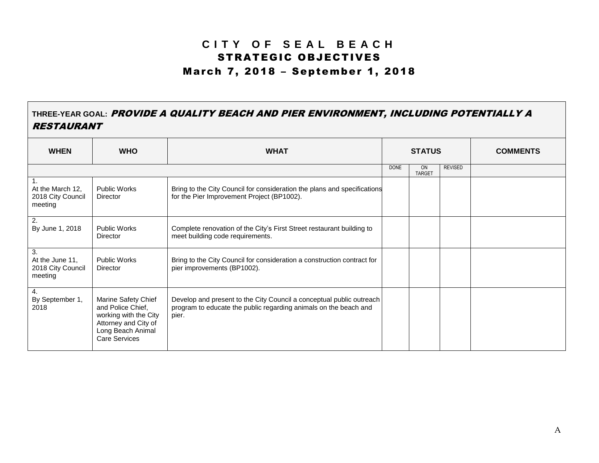## **C I T Y O F S E A L B E A C H** STRATEGIC OBJECTIVES March 7, 2018 – September 1, 2018

## **THREE-YEAR GOAL:** PROVIDE A QUALITY BEACH AND PIER ENVIRONMENT, INCLUDING POTENTIALLY A RESTAURANT

| <b>WHEN</b>                                                        | <b>WHO</b>                                                                                                                             | <b>WHAT</b>                                                                                                                                       | <b>STATUS</b> |                     |                | <b>COMMENTS</b> |
|--------------------------------------------------------------------|----------------------------------------------------------------------------------------------------------------------------------------|---------------------------------------------------------------------------------------------------------------------------------------------------|---------------|---------------------|----------------|-----------------|
|                                                                    |                                                                                                                                        |                                                                                                                                                   | <b>DONE</b>   | ON<br><b>TARGET</b> | <b>REVISED</b> |                 |
| $\mathbf{1}$ .<br>At the March 12,<br>2018 City Council<br>meeting | <b>Public Works</b><br>Director                                                                                                        | Bring to the City Council for consideration the plans and specifications<br>for the Pier Improvement Project (BP1002).                            |               |                     |                |                 |
| $\overline{2}$<br>By June 1, 2018                                  | <b>Public Works</b><br>Director                                                                                                        | Complete renovation of the City's First Street restaurant building to<br>meet building code requirements.                                         |               |                     |                |                 |
| 3.<br>At the June 11,<br>2018 City Council<br>meeting              | <b>Public Works</b><br>Director                                                                                                        | Bring to the City Council for consideration a construction contract for<br>pier improvements (BP1002).                                            |               |                     |                |                 |
| $\overline{4}$ .<br>By September 1,<br>2018                        | Marine Safety Chief<br>and Police Chief,<br>working with the City<br>Attorney and City of<br>Long Beach Animal<br><b>Care Services</b> | Develop and present to the City Council a conceptual public outreach<br>program to educate the public regarding animals on the beach and<br>pier. |               |                     |                |                 |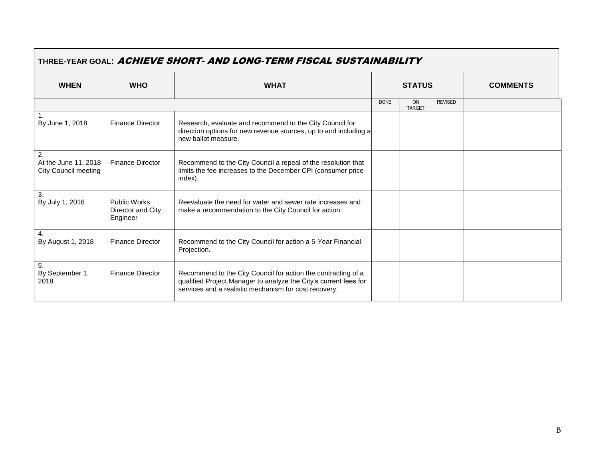| I MNEE I EAN GUAL. AUITIEVE<br>AND LONG-TENIT FIJOAL JOJ FAINADILI FI |                                                      |                                                                                                                                                                                            |             |                     |                |                 |  |  |
|-----------------------------------------------------------------------|------------------------------------------------------|--------------------------------------------------------------------------------------------------------------------------------------------------------------------------------------------|-------------|---------------------|----------------|-----------------|--|--|
| <b>WHEN</b>                                                           | <b>WHO</b>                                           | <b>WHAT</b>                                                                                                                                                                                |             | <b>STATUS</b>       |                | <b>COMMENTS</b> |  |  |
|                                                                       |                                                      |                                                                                                                                                                                            | <b>DONE</b> | ON<br><b>TARGET</b> | <b>REVISED</b> |                 |  |  |
| $\overline{1}$ .<br>By June 1, 2018                                   | <b>Finance Director</b>                              | Research, evaluate and recommend to the City Council for<br>direction options for new revenue sources, up to and including a<br>new ballot measure.                                        |             |                     |                |                 |  |  |
| $\overline{2}$ .<br>At the June 11, 2018<br>City Council meeting      | <b>Finance Director</b>                              | Recommend to the City Council a repeal of the resolution that<br>limits the fee increases to the December CPI (consumer price<br>index).                                                   |             |                     |                |                 |  |  |
| 3.<br>By July 1, 2018                                                 | <b>Public Works</b><br>Director and City<br>Engineer | Reevaluate the need for water and sewer rate increases and<br>make a recommendation to the City Council for action.                                                                        |             |                     |                |                 |  |  |
| 4.<br>By August 1, 2018                                               | <b>Finance Director</b>                              | Recommend to the City Council for action a 5-Year Financial<br>Projection.                                                                                                                 |             |                     |                |                 |  |  |
| 5.<br>By September 1,<br>2018                                         | <b>Finance Director</b>                              | Recommend to the City Council for action the contracting of a<br>qualified Project Manager to analyze the City's current fees for<br>services and a realistic mechanism for cost recovery. |             |                     |                |                 |  |  |

## **THREE-YEAR GOAL:** ACHIEVE SHORT- AND LONG-TERM FISCAL SUSTAINABILITY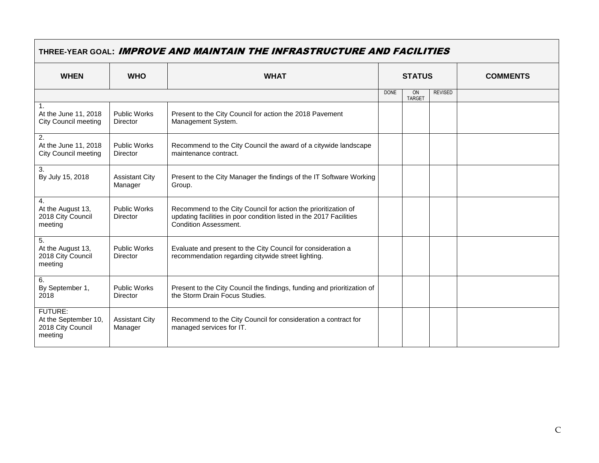| THREE-YEAR GOAL: <b>IMPROVE AND MAINTAIN THE INFRASTRUCTURE AND FACILITIES</b> |                                        |                                                                                                                                                                       |               |                            |                |                 |  |
|--------------------------------------------------------------------------------|----------------------------------------|-----------------------------------------------------------------------------------------------------------------------------------------------------------------------|---------------|----------------------------|----------------|-----------------|--|
| <b>WHEN</b>                                                                    | <b>WHO</b>                             | <b>WHAT</b>                                                                                                                                                           | <b>STATUS</b> |                            |                | <b>COMMENTS</b> |  |
|                                                                                |                                        |                                                                                                                                                                       | <b>DONE</b>   | <b>ON</b><br><b>TARGET</b> | <b>REVISED</b> |                 |  |
| At the June 11, 2018<br><b>City Council meeting</b>                            | <b>Public Works</b><br>Director        | Present to the City Council for action the 2018 Pavement<br>Management System.                                                                                        |               |                            |                |                 |  |
| 2.<br>At the June 11, 2018<br><b>City Council meeting</b>                      | <b>Public Works</b><br><b>Director</b> | Recommend to the City Council the award of a citywide landscape<br>maintenance contract.                                                                              |               |                            |                |                 |  |
| 3.<br>By July 15, 2018                                                         | <b>Assistant City</b><br>Manager       | Present to the City Manager the findings of the IT Software Working<br>Group.                                                                                         |               |                            |                |                 |  |
| $\mathbf{4}$ .<br>At the August 13,<br>2018 City Council<br>meeting            | <b>Public Works</b><br><b>Director</b> | Recommend to the City Council for action the prioritization of<br>updating facilities in poor condition listed in the 2017 Facilities<br><b>Condition Assessment.</b> |               |                            |                |                 |  |
| 5.<br>At the August 13,<br>2018 City Council<br>meeting                        | <b>Public Works</b><br>Director        | Evaluate and present to the City Council for consideration a<br>recommendation regarding citywide street lighting.                                                    |               |                            |                |                 |  |
| 6.<br>By September 1,<br>2018                                                  | <b>Public Works</b><br>Director        | Present to the City Council the findings, funding and prioritization of<br>the Storm Drain Focus Studies.                                                             |               |                            |                |                 |  |
| <b>FUTURE:</b><br>At the September 10,<br>2018 City Council<br>meeting         | <b>Assistant City</b><br>Manager       | Recommend to the City Council for consideration a contract for<br>managed services for IT.                                                                            |               |                            |                |                 |  |

 $\mathcal{L}^{\text{max}}$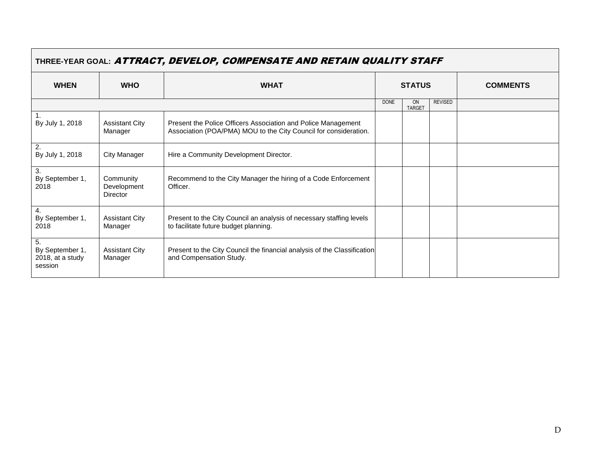| IHREE-YEAR GOAL: <b>AIIKACI, <i>DEVELOP, COMPENSAIE AND REIAIN QOALIIT SIAFF</i></b> |                                             |                                                                                                                                   |               |                            |                |                 |  |
|--------------------------------------------------------------------------------------|---------------------------------------------|-----------------------------------------------------------------------------------------------------------------------------------|---------------|----------------------------|----------------|-----------------|--|
| <b>WHEN</b>                                                                          | <b>WHO</b>                                  | <b>WHAT</b>                                                                                                                       | <b>STATUS</b> |                            |                | <b>COMMENTS</b> |  |
|                                                                                      |                                             |                                                                                                                                   | <b>DONE</b>   | <b>ON</b><br><b>TARGET</b> | <b>REVISED</b> |                 |  |
| By July 1, 2018                                                                      | <b>Assistant City</b><br>Manager            | Present the Police Officers Association and Police Management<br>Association (POA/PMA) MOU to the City Council for consideration. |               |                            |                |                 |  |
| 2.<br>By July 1, 2018                                                                | <b>City Manager</b>                         | Hire a Community Development Director.                                                                                            |               |                            |                |                 |  |
| 3.<br>By September 1,<br>2018                                                        | Community<br>Development<br><b>Director</b> | Recommend to the City Manager the hiring of a Code Enforcement<br>Officer.                                                        |               |                            |                |                 |  |
| 4.<br>By September 1,<br>2018                                                        | <b>Assistant City</b><br>Manager            | Present to the City Council an analysis of necessary staffing levels<br>to facilitate future budget planning.                     |               |                            |                |                 |  |
| 5.<br>By September 1,<br>2018, at a study<br>session                                 | <b>Assistant City</b><br>Manager            | Present to the City Council the financial analysis of the Classification<br>and Compensation Study.                               |               |                            |                |                 |  |

## **THREE-YEAR GOAL:** ATTRACT, DEVELOP, COMPENSATE AND RETAIN QUALITY STAFF